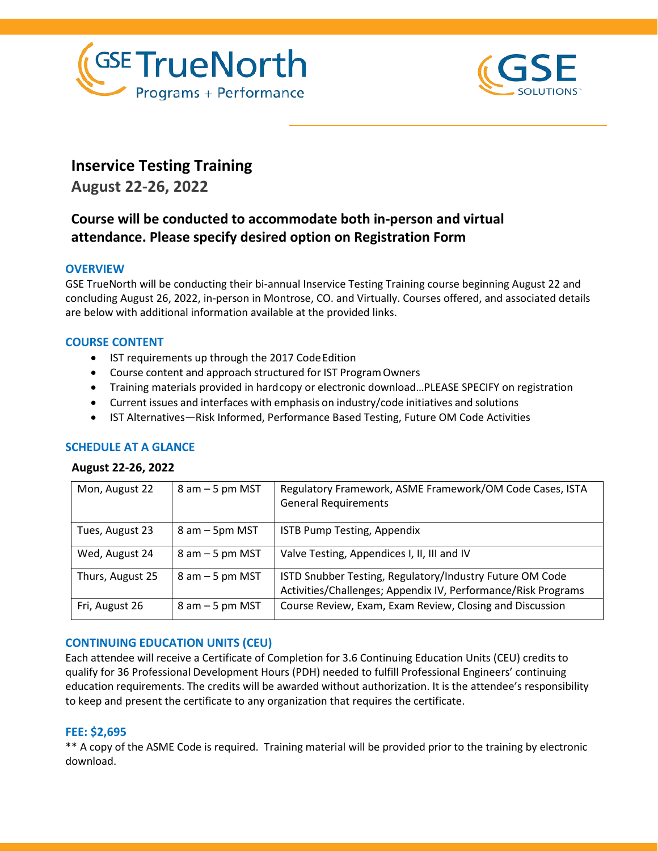



# **Inservice Testing Training**

**August 22-26, 2022**

# **Course will be conducted to accommodate both in-person and virtual attendance. Please specify desired option on Registration Form**

# **OVERVIEW**

GSE TrueNorth will be conducting their bi-annual Inservice Testing Training course beginning August 22 and concluding August 26, 2022, in-person in Montrose, CO. and Virtually. Courses offered, and associated details are below with additional information available at the provided links.

# **COURSE CONTENT**

- IST requirements up through the 2017 Code Edition
- Course content and approach structured for IST ProgramOwners
- Training materials provided in hardcopy or electronic download…PLEASE SPECIFY on registration
- Current issues and interfaces with emphasis on industry/code initiatives and solutions
- IST Alternatives—Risk Informed, Performance Based Testing, Future OM Code Activities

# **SCHEDULE AT A GLANCE**

#### **August 22-26, 2022**

| Mon, August 22   | $8$ am $-5$ pm MST | Regulatory Framework, ASME Framework/OM Code Cases, ISTA<br><b>General Requirements</b>                                   |
|------------------|--------------------|---------------------------------------------------------------------------------------------------------------------------|
| Tues, August 23  | 8 am – 5pm MST     | ISTB Pump Testing, Appendix                                                                                               |
| Wed, August 24   | $8$ am $-5$ pm MST | Valve Testing, Appendices I, II, III and IV                                                                               |
| Thurs, August 25 | $8$ am $-5$ pm MST | ISTD Snubber Testing, Regulatory/Industry Future OM Code<br>Activities/Challenges; Appendix IV, Performance/Risk Programs |
| Fri, August 26   | $8$ am $-5$ pm MST | Course Review, Exam, Exam Review, Closing and Discussion                                                                  |

# **CONTINUING EDUCATION UNITS (CEU)**

Each attendee will receive a Certificate of Completion for 3.6 Continuing Education Units (CEU) credits to qualify for 36 Professional Development Hours (PDH) needed to fulfill Professional Engineers' continuing education requirements. The credits will be awarded without authorization. It is the attendee's responsibility to keep and present the certificate to any organization that requires the certificate.

# **FEE: \$2,695**

\*\* A copy of the ASME Code is required. Training material will be provided prior to the training by electronic download.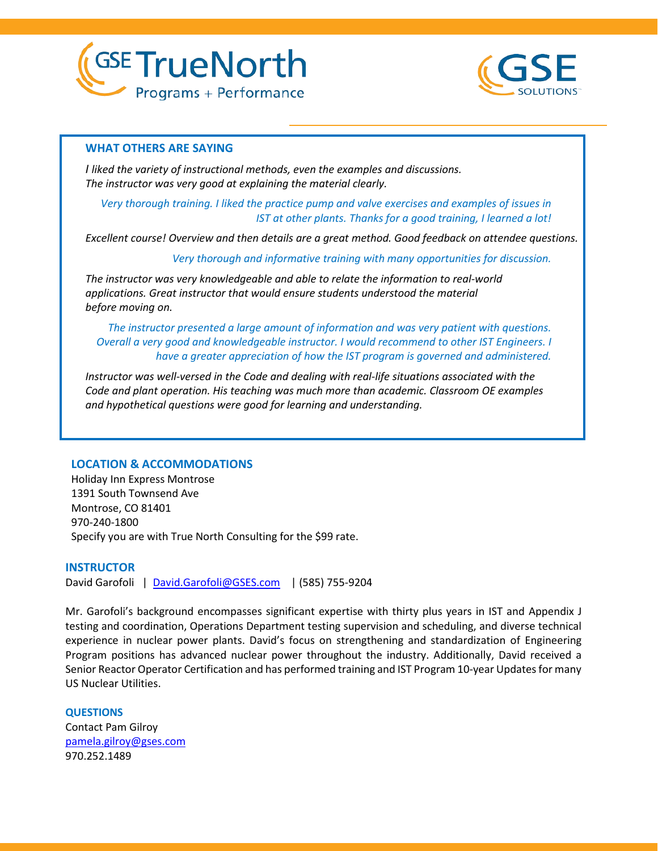



#### **WHAT OTHERS ARE SAYING**

*I liked the variety of instructional methods, even the examples and discussions. The instructor was very good at explaining the material clearly.*

*Very thorough training. I liked the practice pump and valve exercises and examples of issues in IST at other plants. Thanks for a good training, I learned a lot!*

*Excellent course! Overview and then details are a great method. Good feedback on attendee questions.*

*Very thorough and informative training with many opportunities for discussion.*

*The instructor was very knowledgeable and able to relate the information to real-world applications. Great instructor that would ensure students understood the material before moving on.*

*The instructor presented a large amount of information and was very patient with questions. Overall a very good and knowledgeable instructor. I would recommend to other IST Engineers. I have a greater appreciation of how the IST program is governed and administered.*

*Instructor was well-versed in the Code and dealing with real-life situations associated with the Code and plant operation. His teaching was much more than academic. Classroom OE examples and hypothetical questions were good for learning and understanding.*

#### **LOCATION & ACCOMMODATIONS**

Holiday Inn Express Montrose 1391 South Townsend Ave Montrose, CO 81401 970-240-1800 Specify you are with True North Consulting for the \$99 rate.

#### **INSTRUCTOR**

David Garofoli | [David.Garofoli@GSES.com](mailto:David.Garofoli@GSES.com) | (585) 755-9204

Mr. Garofoli's background encompasses significant expertise with thirty plus years in IST and Appendix J testing and coordination, Operations Department testing supervision and scheduling, and diverse technical experience in nuclear power plants. David's focus on strengthening and standardization of Engineering Program positions has advanced nuclear power throughout the industry. Additionally, David received a Senior Reactor Operator Certification and has performed training and IST Program 10-year Updates for many US Nuclear Utilities.

**QUESTIONS**

Contact Pam Gilroy [pamela.gilroy@gses.com](mailto:pamela.gilroy@gses.com) 970.252.1489